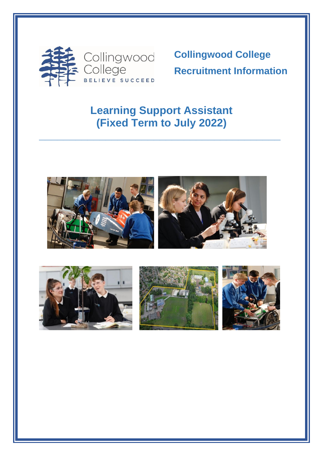

**Collingwood College Recruitment Information** 

# **Learning Support Assistant (Fixed Term to July 2022)**

**\_\_\_\_\_\_\_\_\_\_\_\_\_\_\_\_\_\_\_\_\_\_\_\_\_\_\_\_\_\_\_\_\_\_\_\_\_\_\_\_**



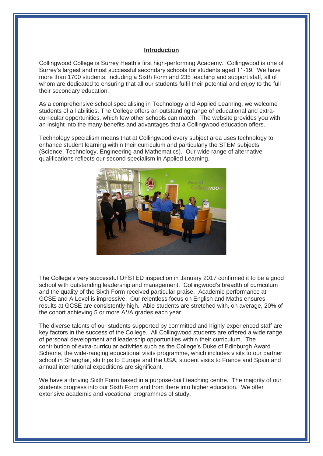#### **Introduction**

Collingwood College is Surrey Heath's first high-performing Academy. Collingwood is one of Surrey's largest and most successful secondary schools for students aged 11-19. We have more than 1700 students, including a Sixth Form and 235 teaching and support staff, all of whom are dedicated to ensuring that all our students fulfil their potential and enjoy to the full their secondary education.

As a comprehensive school specialising in Technology and Applied Learning, we welcome students of all abilities. The College offers an outstanding range of educational and extracurricular opportunities, which few other schools can match. The website provides you with an insight into the many benefits and advantages that a Collingwood education offers.

Technology specialism means that at Collingwood every subject area uses technology to enhance student learning within their curriculum and particularly the STEM subjects (Science, Technology, Engineering and Mathematics). Our wide range of alternative qualifications reflects our second specialism in Applied Learning.



The College's very successful OFSTED inspection in January 2017 confirmed it to be a good school with outstanding leadership and management. Collingwood's breadth of curriculum and the quality of the Sixth Form received particular praise. Academic performance at GCSE and A Level is impressive. Our relentless focus on English and Maths ensures results at GCSE are consistently high. Able students are stretched with, on average, 20% of the cohort achieving 5 or more A\*/A grades each year.

The diverse talents of our students supported by committed and highly experienced staff are key factors in the success of the College. All Collingwood students are offered a wide range of personal development and leadership opportunities within their curriculum. The contribution of extra-curricular activities such as the College's Duke of Edinburgh Award Scheme, the wide-ranging educational visits programme, which includes visits to our partner school in Shanghai, ski trips to Europe and the USA, student visits to France and Spain and annual international expeditions are significant.

We have a thriving Sixth Form based in a purpose-built teaching centre. The majority of our students progress into our Sixth Form and from there into higher education. We offer extensive academic and vocational programmes of study.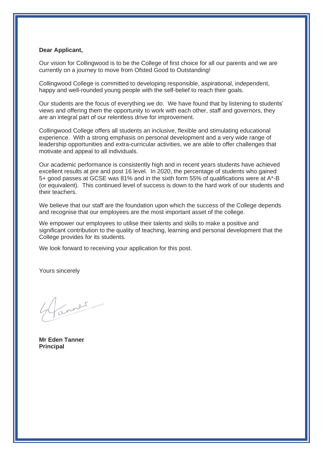#### **Dear Applicant,**

Our vision for Collingwood is to be the College of first choice for all our parents and we are currently on a journey to move from Ofsted Good to Outstanding!

Collingwood College is committed to developing responsible, aspirational, independent, happy and well-rounded young people with the self-belief to reach their goals.

Our students are the focus of everything we do. We have found that by listening to students' views and offering them the opportunity to work with each other, staff and governors, they are an integral part of our relentless drive for improvement.

Collingwood College offers all students an inclusive, flexible and stimulating educational experience. With a strong emphasis on personal development and a very wide range of leadership opportunities and extra-curricular activities, we are able to offer challenges that motivate and appeal to all individuals.

Our academic performance is consistently high and in recent years students have achieved excellent results at pre and post 16 level. In 2020, the percentage of students who gained 5+ good passes at GCSE was 81% and in the sixth form 55% of qualifications were at A\*-B (or equivalent). This continued level of success is down to the hard work of our students and their teachers.

We believe that our staff are the foundation upon which the success of the College depends and recognise that our employees are the most important asset of the college.

We empower our employees to utilise their talents and skills to make a positive and significant contribution to the quality of teaching, learning and personal development that the College provides for its students.

We look forward to receiving your application for this post.

Yours sincerely

inner

**Mr Eden Tanner Principal**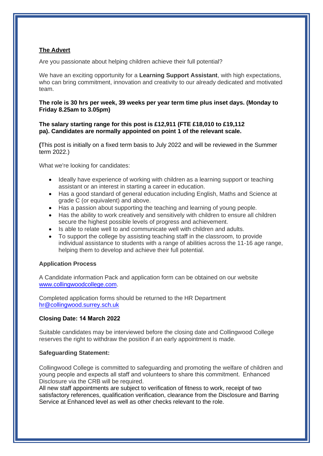# **The Advert**

Are you passionate about helping children achieve their full potential?

We have an exciting opportunity for a **Learning Support Assistant**, with high expectations, who can bring commitment, innovation and creativity to our already dedicated and motivated team.

**The role is 30 hrs per week, 39 weeks per year term time plus inset days. (Monday to Friday 8.25am to 3.05pm)**

#### **The salary starting range for this post is £12,911 (FTE £18,010 to £19,112 pa). Candidates are normally appointed on point 1 of the relevant scale.**

**(**This post is initially on a fixed term basis to July 2022 and will be reviewed in the Summer term 2022.)

What we're looking for candidates:

- Ideally have experience of working with children as a learning support or teaching assistant or an interest in starting a career in education.
- Has a good standard of general education including English, Maths and Science at grade C (or equivalent) and above.
- Has a passion about supporting the teaching and learning of young people.
- Has the ability to work creatively and sensitively with children to ensure all children secure the highest possible levels of progress and achievement.
- Is able to relate well to and communicate well with children and adults.
- To support the college by assisting teaching staff in the classroom, to provide individual assistance to students with a range of abilities across the 11-16 age range, helping them to develop and achieve their full potential.

# **Application Process**

A Candidate information Pack and application form can be obtained on our website [www.collingwoodcollege.com.](http://www.collingwoodcollege.com/)

Completed application forms should be returned to the HR Department [hr@collingwood.surrey.sch.uk](mailto:hr@collingwood.surrey.sch.uk) 

# **Closing Date: 14 March 2022**

Suitable candidates may be interviewed before the closing date and Collingwood College reserves the right to withdraw the position if an early appointment is made.

# **Safeguarding Statement:**

Collingwood College is committed to safeguarding and promoting the welfare of children and young people and expects all staff and volunteers to share this commitment.  Enhanced Disclosure via the CRB will be required.

All new staff appointments are subject to verification of fitness to work, receipt of two satisfactory references, qualification verification, clearance from the Disclosure and Barring Service at Enhanced level as well as other checks relevant to the role.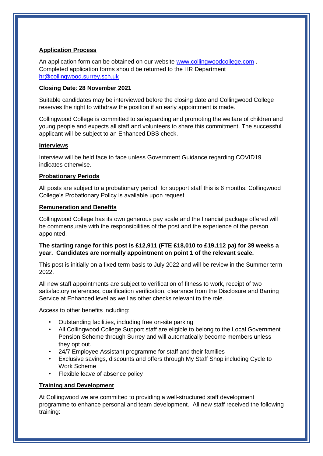# **Application Process**

An application form can be obtained on our website [www.collingwoodcollege.com](http://www.collingwoodcollege.com/) . Completed application forms should be returned to the HR Department [hr@collingwood.surrey.sch.uk](mailto:hr@collingwood.surrey.sch.uk) 

# **Closing Date**: **28 November 2021**

Suitable candidates may be interviewed before the closing date and Collingwood College reserves the right to withdraw the position if an early appointment is made.

Collingwood College is committed to safeguarding and promoting the welfare of children and young people and expects all staff and volunteers to share this commitment. The successful applicant will be subject to an Enhanced DBS check.

#### **Interviews**

Interview will be held face to face unless Government Guidance regarding COVID19 indicates otherwise.

# **Probationary Periods**

All posts are subject to a probationary period, for support staff this is 6 months. Collingwood College's Probationary Policy is available upon request.

# **Remuneration and Benefits**

Collingwood College has its own generous pay scale and the financial package offered will be commensurate with the responsibilities of the post and the experience of the person appointed.

# **The starting range for this post is £12,911 (FTE £18,010 to £19,112 pa) for 39 weeks a year. Candidates are normally appointment on point 1 of the relevant scale.**

This post is initially on a fixed term basis to July 2022 and will be review in the Summer term 2022.

All new staff appointments are subject to verification of fitness to work, receipt of two satisfactory references, qualification verification, clearance from the Disclosure and Barring Service at Enhanced level as well as other checks relevant to the role.

Access to other benefits including:

- Outstanding facilities, including free on-site parking
- All Collingwood College Support staff are eligible to belong to the Local Government Pension Scheme through Surrey and will automatically become members unless they opt out.
- 24/7 Employee Assistant programme for staff and their families
- Exclusive savings, discounts and offers through My Staff Shop including Cycle to Work Scheme
- Flexible leave of absence policy

# **Training and Development**

At Collingwood we are committed to providing a well-structured staff development programme to enhance personal and team development. All new staff received the following training: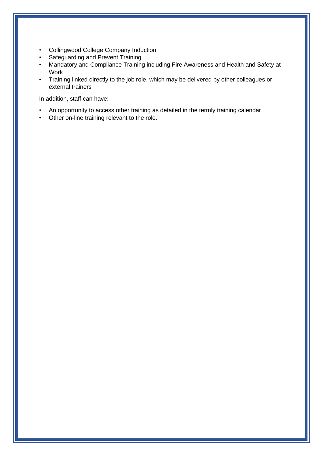- Collingwood College Company Induction
- Safeguarding and Prevent Training
- Mandatory and Compliance Training including Fire Awareness and Health and Safety at Work
- Training linked directly to the job role, which may be delivered by other colleagues or external trainers

In addition, staff can have:

- An opportunity to access other training as detailed in the termly training calendar
- Other on-line training relevant to the role.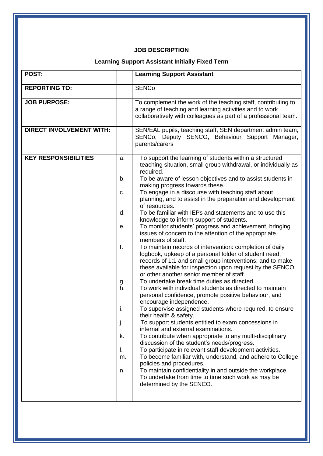# **JOB DESCRIPTION**

# **Learning Support Assistant Initially Fixed Term**

| POST:                           |          | <b>Learning Support Assistant</b>                                                                                                                                                                                                                                                      |
|---------------------------------|----------|----------------------------------------------------------------------------------------------------------------------------------------------------------------------------------------------------------------------------------------------------------------------------------------|
| <b>REPORTING TO:</b>            |          | <b>SENCo</b>                                                                                                                                                                                                                                                                           |
| <b>JOB PURPOSE:</b>             |          | To complement the work of the teaching staff, contributing to<br>a range of teaching and learning activities and to work<br>collaboratively with colleagues as part of a professional team.                                                                                            |
| <b>DIRECT INVOLVEMENT WITH:</b> |          | SEN/EAL pupils, teaching staff, SEN department admin team,<br>SENCo, Deputy SENCO, Behaviour Support Manager,<br>parents/carers                                                                                                                                                        |
| <b>KEY RESPONSIBILITIES</b>     | a.       | To support the learning of students within a structured<br>teaching situation, small group withdrawal, or individually as<br>required.                                                                                                                                                 |
|                                 | b.       | To be aware of lesson objectives and to assist students in<br>making progress towards these.                                                                                                                                                                                           |
|                                 | c.       | To engage in a discourse with teaching staff about<br>planning, and to assist in the preparation and development<br>of resources.                                                                                                                                                      |
|                                 | d.       | To be familiar with IEPs and statements and to use this<br>knowledge to inform support of students.                                                                                                                                                                                    |
|                                 | е.       | To monitor students' progress and achievement, bringing<br>issues of concern to the attention of the appropriate<br>members of staff.                                                                                                                                                  |
|                                 | f.       | To maintain records of intervention: completion of daily<br>logbook, upkeep of a personal folder of student need,<br>records of 1:1 and small group interventions; and to make<br>these available for inspection upon request by the SENCO<br>or other another senior member of staff. |
|                                 | g.<br>h. | To undertake break time duties as directed.<br>To work with individual students as directed to maintain<br>personal confidence, promote positive behaviour, and<br>encourage independence.                                                                                             |
|                                 | Ι.       | To supervise assigned students where required, to ensure<br>their health & safety.                                                                                                                                                                                                     |
|                                 | J.       | To support students entitled to exam concessions in<br>internal and external examinations.                                                                                                                                                                                             |
|                                 | k.       | To contribute when appropriate to any multi-disciplinary<br>discussion of the student's needs/progress.                                                                                                                                                                                |
|                                 | I.       | To participate in relevant staff development activities.                                                                                                                                                                                                                               |
|                                 | m.       | To become familiar with, understand, and adhere to College<br>policies and procedures.                                                                                                                                                                                                 |
|                                 | n.       | To maintain confidentiality in and outside the workplace.<br>To undertake from time to time such work as may be<br>determined by the SENCO.                                                                                                                                            |
|                                 |          |                                                                                                                                                                                                                                                                                        |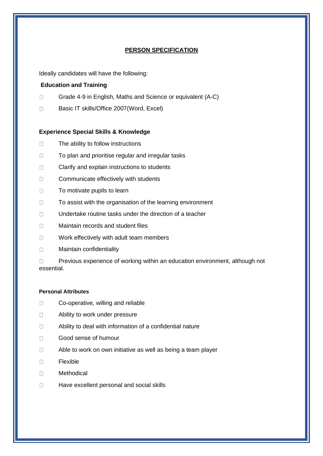# **PERSON SPECIFICATION**

Ideally candidates will have the following:

#### **Education and Training**

- Grade 4-9 in English, Maths and Science or equivalent (A-C)  $\Box$
- Basic IT skills/Office 2007(Word, Excel)  $\Box$

#### **Experience Special Skills & Knowledge**

- $\Box$ The ability to follow instructions
- To plan and prioritise regular and irregular tasks  $\Box$
- $\Box$ Clarify and explain instructions to students
- $\Box$ Communicate effectively with students
- $\Box$ To motivate pupils to learn
- To assist with the organisation of the learning environment  $\Box$
- Undertake routine tasks under the direction of a teacher  $\Box$
- Maintain records and student files  $\Box$
- Work effectively with adult team members  $\Box$
- Maintain confidentiality  $\Box$

 $\Box$ Previous experience of working within an education environment, although not essential.

#### **Personal Attributes**

- $\Box$ Co-operative, willing and reliable
- $\Box$ Ability to work under pressure
- Ability to deal with information of a confidential nature  $\Box$
- $\Box$ Good sense of humour
- $\Box$ Able to work on own initiative as well as being a team player
- $\Box$ Flexible
- $\Box$ Methodical
- $\Box$ Have excellent personal and social skills